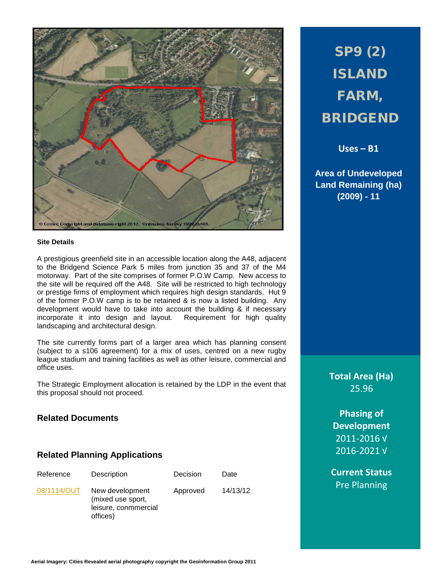

#### **Site Details**

A prestigious greenfield site in an accessible location along the A48, adjacent to the Bridgend Science Park 5 miles from junction 35 and 37 of the M4 motorway. Part of the site comprises of former P.O.W Camp. New access to the site will be required off the A48. Site will be restricted to high technology or prestige firms of employment which requires high design standards. Hut 9 of the former P.O.W camp is to be retained & is now a listed building. Any development would have to take into account the building & if necessary incorporate it into design and layout. Requirement for high quality landscaping and architectural design.

The site currently forms part of a larger area which has planning consent (subject to a s106 agreement) for a mix of uses, centred on a new rugby league stadium and training facilities as well as other leisure, commercial and office uses.

The Strategic Employment allocation is retained by the LDP in the event that this proposal should not proceed.

## **Related Documents**

#### **Related Planning Applications**

| Reference   | Description                                                              | Decision | Date     |
|-------------|--------------------------------------------------------------------------|----------|----------|
| 08/1114/OUT | New development<br>(mixed use sport,<br>leisure, conmmercial<br>offices) | Approved | 14/13/12 |

# SP9 (2) ISLAND FARM, BRIDGEND

**Uses – B1**

**Area of Undeveloped Land Remaining (ha) (2009) - 11**

> **Total Area (Ha)** 25.96

**Phasing of Development** 2011-2016 √ 2016-2021 √

**Current Status** Pre Planning